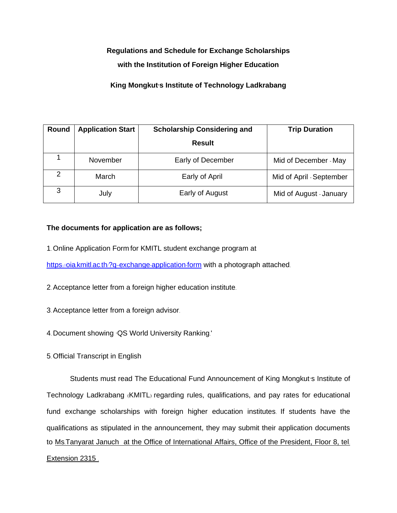## **Regulations and Schedule for Exchange Scholarships**

## **with the Institution of Foreign Higher Education**

## **King Mongkut's Institute of Technology Ladkrabang**

| Round         | <b>Application Start</b> | <b>Scholarship Considering and</b> | <b>Trip Duration</b>     |
|---------------|--------------------------|------------------------------------|--------------------------|
|               |                          | <b>Result</b>                      |                          |
|               | November                 | Early of December                  | Mid of December - May    |
| $\mathcal{P}$ | March                    | Early of April                     | Mid of April - September |
| 3             | July                     | Early of August                    | Mid of August - January  |

## **The documents for application are as follows;**

1. Online Application Form for KMITL student exchange program at

https://oia.kmitl.ac.th/?q=exchange-[application](https://oia.kmitl.ac.th/?q=exchange-application-form)-form with a photograph attached.

- 2.Acceptance letter from a foreign higher education institute.
- 3.Acceptance letter from a foreign advisor.
- 4. Document showing 'QS World University Ranking.'
- 5. Official Transcript in English

Students must read The Educational Fund Announcement of King Mongkut's Institute of Technology Ladkrabang (KMITL) regarding rules, qualifications, and pay rates for educational fund exchange scholarships with foreign higher education institutes. If students have the qualifications as stipulated in the announcement, they may submit their application documents to Ms.Tanyarat Januch at the Office of International Affairs, Office of the President, Floor 8, tel. Extension 2315 .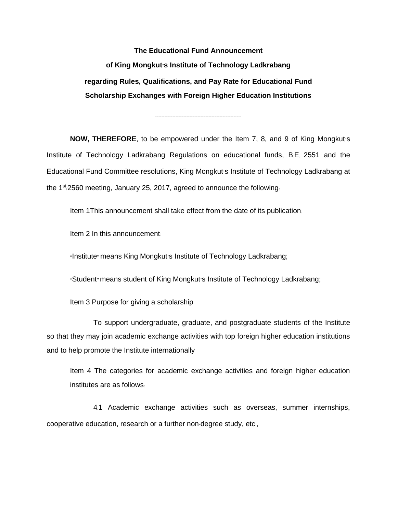**The Educational Fund Announcement of King Mongkut's Institute of Technology Ladkrabang regarding Rules, Qualifications, and Pay Rate for Educational Fund Scholarship Exchanges with Foreign Higher Education Institutions**

-------------------------------------------------------

**NOW, THEREFORE**, to be empowered under the Item 7, 8, and 9 of King Mongkut's Institute of Technology Ladkrabang Regulations on educational funds, B.E. 2551 and the Educational Fund Committee resolutions, King Mongkut's Institute of Technology Ladkrabang at the  $1<sup>st</sup>/2560$  meeting, January 25, 2017, agreed to announce the following.

Item 1This announcement shall take effect from the date of its publication.

Item 2 In this announcement:

"Institute" means King Mongkut's Institute of Technology Ladkrabang;

"Student" means student of King Mongkut's Institute of Technology Ladkrabang;

Item 3 Purpose for giving a scholarship

To support undergraduate, graduate, and postgraduate students of the Institute so that they may join academic exchange activities with top foreign higher education institutions and to help promote the Institute internationally

Item 4 The categories for academic exchange activities and foreign higher education institutes are as follows:

4.1 Academic exchange activities such as overseas, summer internships, cooperative education, research or a further non-degree study, etc.,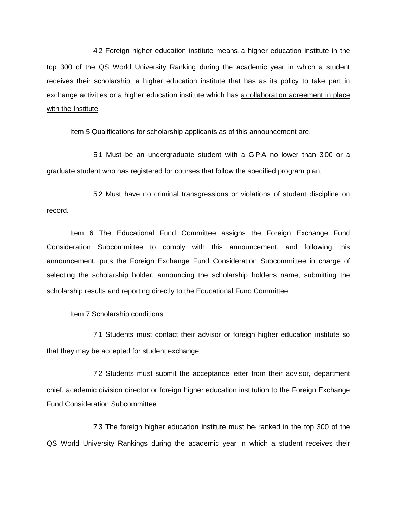4.2 Foreign higher education institute means: a higher education institute in the top 300 of the QS World University Ranking during the academic year in which a student receives their scholarship, a higher education institute that has as its policy to take part in exchange activities or a higher education institute which has a collaboration agreement in place with the Institute.

Item 5 Qualifications for scholarship applicants as of this announcement are:

5.1 Must be an undergraduate student with a G.P.A. no lower than 3.00 or a graduate student who has registered for courses that follow the specified program plan.

5.2 Must have no criminal transgressions or violations of student discipline on record.

Item 6 The Educational Fund Committee assigns the Foreign Exchange Fund Consideration Subcommittee to comply with this announcement, and following this announcement, puts the Foreign Exchange Fund Consideration Subcommittee in charge of selecting the scholarship holder, announcing the scholarship holder's name, submitting the scholarship results and reporting directly to the Educational Fund Committee.

Item 7 Scholarship conditions

7.1 Students must contact their advisor or foreign higher education institute so that they may be accepted for student exchange.

7.2 Students must submit the acceptance letter from their advisor, department chief, academic division director or foreign higher education institution to the Foreign Exchange Fund Consideration Subcommittee.

7.3 The foreign higher education institute must be: ranked in the top 300 of the QS World University Rankings during the academic year in which a student receives their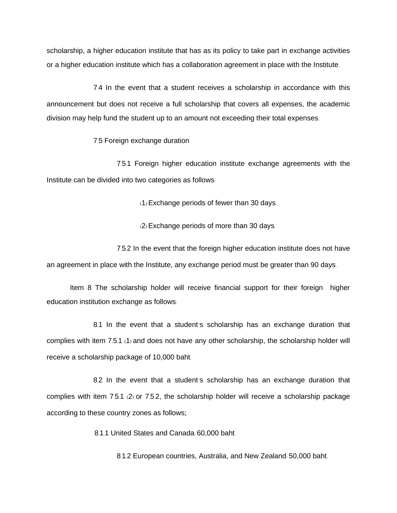scholarship, a higher education institute that has as its policy to take part in exchange activities or a higher education institute which has a collaboration agreement in place with the Institute.

7.4 In the event that a student receives a scholarship in accordance with this announcement but does not receive a full scholarship that covers all expenses, the academic division may help fund the student up to an amount not exceeding their total expenses.

7.5 Foreign exchange duration

7.5.1 Foreign higher education institute exchange agreements with the Institute can be divided into two categories as follows:

(1) Exchange periods of fewer than 30 days.

(2) Exchange periods of more than 30 days.

7.5.2 In the event that the foreign higher education institute does not have an agreement in place with the Institute, any exchange period must be greater than 90 days.

Item 8 The scholarship holder will receive financial support for their foreign higher education institution exchange as follows:

8.1 In the event that a student's scholarship has an exchange duration that complies with item 7.5.1 (1) and does not have any other scholarship, the scholarship holder will receive a scholarship package of 10,000 baht.

8.2 In the event that a student's scholarship has an exchange duration that complies with item 7.5.1 (2) or 7.5.2, the scholarship holder will receive a scholarship package according to these country zones as follows;

8.1.1 United States and Canada: 60,000 baht.

8.1.2 European countries, Australia, and New Zealand: 50,000 baht.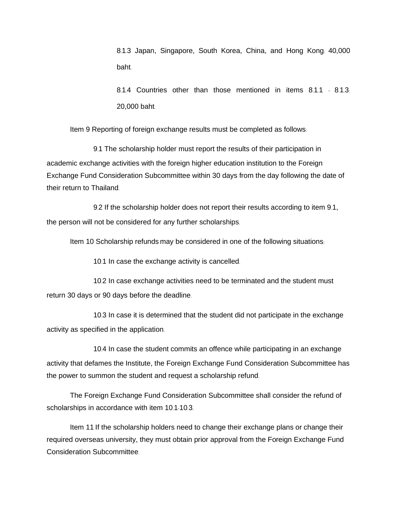8.1.3 Japan, Singapore, South Korea, China, and Hong Kong: 40,000 baht.

8.1.4 Countries other than those mentioned in items 8.1.1 - 8.1.3. 20,000 baht.

Item 9 Reporting of foreign exchange results must be completed as follows:

9.1 The scholarship holder must report the results of their participation in academic exchange activities with the foreign higher education institution to the Foreign Exchange Fund Consideration Subcommittee within 30 days from the day following the date of their return to Thailand.

9.2 If the scholarship holder does not report their results according to item 9.1, the person will not be considered for any further scholarships.

Item 10 Scholarship refunds may be considered in one of the following situations:

10.1 In case the exchange activity is cancelled.

10.2 In case exchange activities need to be terminated and the student must return 30 days or 90 days before the deadline.

10.3 In case it is determined that the student did not participate in the exchange activity as specified in the application.

10.4 In case the student commits an offence while participating in an exchange activity that defames the Institute, the Foreign Exchange Fund Consideration Subcommittee has the power to summon the student and request a scholarship refund.

The Foreign Exchange Fund Consideration Subcommittee shall consider the refund of scholarships in accordance with item 10.1-10.3.

Item 11 If the scholarship holders need to change their exchange plans or change their required overseas university, they must obtain prior approval from the Foreign Exchange Fund Consideration Subcommittee.